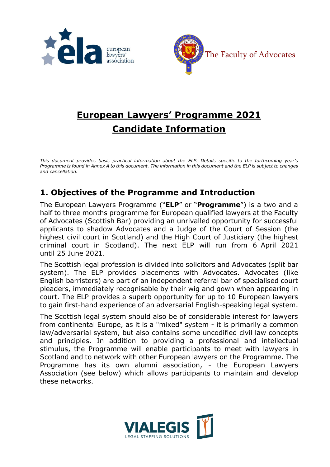



## **European Lawyers' Programme 2021 Candidate Information**

*This document provides basic practical information about the ELP. Details specific to the forthcoming year's Programme is found in Annex A to this document. The information in this document and the ELP is subject to changes and cancellation.* 

## **1. Objectives of the Programme and Introduction**

The European Lawyers Programme ("**ELP**" or "**Programme**") is a two and a half to three months programme for European qualified lawyers at the Faculty of Advocates (Scottish Bar) providing an unrivalled opportunity for successful applicants to shadow Advocates and a Judge of the Court of Session (the highest civil court in Scotland) and the High Court of Justiciary (the highest criminal court in Scotland). The next ELP will run from 6 April 2021 until 25 June 2021.

The Scottish legal profession is divided into solicitors and Advocates (split bar system). The ELP provides placements with Advocates. Advocates (like English barristers) are part of an independent referral bar of specialised court pleaders, immediately recognisable by their wig and gown when appearing in court. The ELP provides a superb opportunity for up to 10 European lawyers to gain first-hand experience of an adversarial English-speaking legal system.

The Scottish legal system should also be of considerable interest for lawyers from continental Europe, as it is a "mixed" system - it is primarily a common law/adversarial system, but also contains some uncodified civil law concepts and principles. In addition to providing a professional and intellectual stimulus, the Programme will enable participants to meet with lawyers in Scotland and to network with other European lawyers on the Programme. The Programme has its own alumni association, - the European Lawyers Association (see below) which allows participants to maintain and develop these networks.

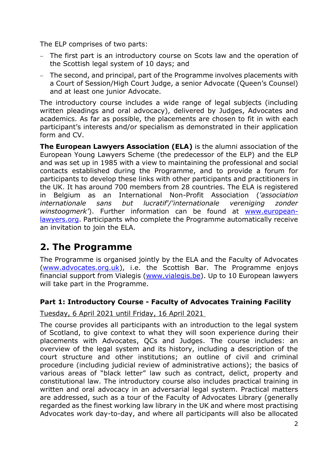The ELP comprises of two parts:

- − The first part is an introductory course on Scots law and the operation of the Scottish legal system of 10 days; and
- − The second, and principal, part of the Programme involves placements with a Court of Session/High Court Judge, a senior Advocate (Queen's Counsel) and at least one junior Advocate.

The introductory course includes a wide range of legal subjects (including written pleadings and oral advocacy), delivered by Judges, Advocates and academics. As far as possible, the placements are chosen to fit in with each participant's interests and/or specialism as demonstrated in their application form and CV.

**The European Lawyers Association (ELA)** is the alumni association of the European Young Lawyers Scheme (the predecessor of the ELP) and the ELP and was set up in 1985 with a view to maintaining the professional and social contacts established during the Programme, and to provide a forum for participants to develop these links with other participants and practitioners in the UK. It has around 700 members from 28 countries. The ELA is registered in Belgium as an International Non-Profit Association (*'association internationale sans but lucratif'/'internationale vereniging zonder winstoogmerk'*). Further information can be found at [www.european](http://www.european-lawyers.org/)[lawyers.org.](http://www.european-lawyers.org/) Participants who complete the Programme automatically receive an invitation to join the ELA.

## **2. The Programme**

The Programme is organised jointly by the ELA and the Faculty of Advocates [\(www.advocates.org.uk\)](http://www.advocates.org.uk/), i.e. the Scottish Bar. The Programme enjoys financial support from Vialegis [\(www.vialegis.be\)](http://www.vialegis.be/). Up to 10 European lawyers will take part in the Programme.

#### **Part 1: Introductory Course - Faculty of Advocates Training Facility**

#### Tuesday, 6 April 2021 until Friday, 16 April 2021

The course provides all participants with an introduction to the legal system of Scotland, to give context to what they will soon experience during their placements with Advocates, QCs and Judges. The course includes: an overview of the legal system and its history, including a description of the court structure and other institutions; an outline of civil and criminal procedure (including judicial review of administrative actions); the basics of various areas of "black letter" law such as contract, delict, property and constitutional law. The introductory course also includes practical training in written and oral advocacy in an adversarial legal system. Practical matters are addressed, such as a tour of the Faculty of Advocates Library (generally regarded as the finest working law library in the UK and where most practising Advocates work day-to-day, and where all participants will also be allocated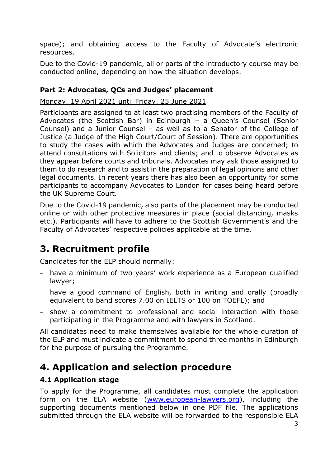space); and obtaining access to the Faculty of Advocate's electronic resources.

Due to the Covid-19 pandemic, all or parts of the introductory course may be conducted online, depending on how the situation develops.

#### **Part 2: Advocates, QCs and Judges' placement**

Monday, 19 April 2021 until Friday, 25 June 2021

Participants are assigned to at least two practising members of the Faculty of Advocates (the Scottish Bar) in Edinburgh – a Queen's Counsel (Senior Counsel) and a Junior Counsel – as well as to a Senator of the College of Justice (a Judge of the High Court/Court of Session). There are opportunities to study the cases with which the Advocates and Judges are concerned; to attend consultations with Solicitors and clients; and to observe Advocates as they appear before courts and tribunals. Advocates may ask those assigned to them to do research and to assist in the preparation of legal opinions and other legal documents. In recent years there has also been an opportunity for some participants to accompany Advocates to London for cases being heard before the UK Supreme Court.

Due to the Covid-19 pandemic, also parts of the placement may be conducted online or with other protective measures in place (social distancing, masks etc.). Participants will have to adhere to the Scottish Government's and the Faculty of Advocates' respective policies applicable at the time.

## **3. Recruitment profile**

Candidates for the ELP should normally:

- − have a minimum of two years' work experience as a European qualified lawyer;
- − have a good command of English, both in writing and orally (broadly equivalent to band scores 7.00 on IELTS or 100 on TOEFL); and
- − show a commitment to professional and social interaction with those participating in the Programme and with lawyers in Scotland.

All candidates need to make themselves available for the whole duration of the ELP and must indicate a commitment to spend three months in Edinburgh for the purpose of pursuing the Programme.

## **4. Application and selection procedure**

#### **4.1 Application stage**

To apply for the Programme, all candidates must complete the application form on the ELA website [\(www.european-lawyers.org\)](http://www.european-lawyers.org/), including the supporting documents mentioned below in one PDF file. The applications submitted through the ELA website will be forwarded to the responsible ELA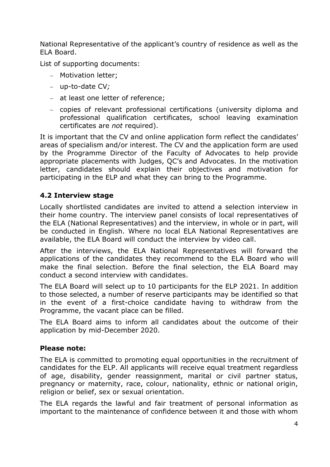National Representative of the applicant's country of residence as well as the ELA Board.

List of supporting documents:

- − Motivation letter;
- − up-to-date CV*;*
- − at least one letter of reference;
- − copies of relevant professional certifications (university diploma and professional qualification certificates, school leaving examination certificates are *not* required).

It is important that the CV and online application form reflect the candidates' areas of specialism and/or interest. The CV and the application form are used by the Programme Director of the Faculty of Advocates to help provide appropriate placements with Judges, QC's and Advocates. In the motivation letter, candidates should explain their objectives and motivation for participating in the ELP and what they can bring to the Programme.

#### **4.2 Interview stage**

Locally shortlisted candidates are invited to attend a selection interview in their home country. The interview panel consists of local representatives of the ELA (National Representatives) and the interview, in whole or in part, will be conducted in English. Where no local ELA National Representatives are available, the ELA Board will conduct the interview by video call.

After the interviews, the ELA National Representatives will forward the applications of the candidates they recommend to the ELA Board who will make the final selection. Before the final selection, the ELA Board may conduct a second interview with candidates.

The ELA Board will select up to 10 participants for the ELP 2021. In addition to those selected, a number of reserve participants may be identified so that in the event of a first-choice candidate having to withdraw from the Programme, the vacant place can be filled.

The ELA Board aims to inform all candidates about the outcome of their application by mid-December 2020.

#### **Please note:**

The ELA is committed to promoting equal opportunities in the recruitment of candidates for the ELP. All applicants will receive equal treatment regardless of age, disability, gender reassignment, marital or civil partner status, pregnancy or maternity, race, colour, nationality, ethnic or national origin, religion or belief, sex or sexual orientation.

The ELA regards the lawful and fair treatment of personal information as important to the maintenance of confidence between it and those with whom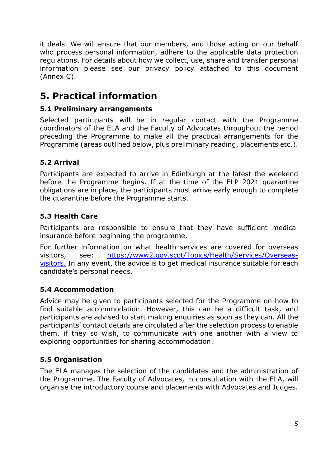it deals. We will ensure that our members, and those acting on our behalf who process personal information, adhere to the applicable data protection regulations. For details about how we collect, use, share and transfer personal information please see our privacy policy attached to this document (Annex C).

## **5. Practical information**

#### **5.1 Preliminary arrangements**

Selected participants will be in regular contact with the Programme coordinators of the ELA and the Faculty of Advocates throughout the period preceding the Programme to make all the practical arrangements for the Programme (areas outlined below, plus preliminary reading, placements etc.).

#### **5.2 Arrival**

Participants are expected to arrive in Edinburgh at the latest the weekend before the Programme begins. If at the time of the ELP 2021 quarantine obligations are in place, the participants must arrive early enough to complete the quarantine before the Programme starts.

#### **5.3 Health Care**

Participants are responsible to ensure that they have sufficient medical insurance before beginning the programme.

For further information on what health services are covered for overseas visitors, see: [https://www2.gov.scot/Topics/Health/Services/Overseas](https://www2.gov.scot/Topics/Health/Services/Overseas-visitors)[visitors.](https://www2.gov.scot/Topics/Health/Services/Overseas-visitors) In any event, the advice is to get medical insurance suitable for each candidate's personal needs.

#### **5.4 Accommodation**

Advice may be given to participants selected for the Programme on how to find suitable accommodation. However, this can be a difficult task, and participants are advised to start making enquiries as soon as they can. All the participants' contact details are circulated after the selection process to enable them, if they so wish, to communicate with one another with a view to exploring opportunities for sharing accommodation.

#### **5.5 Organisation**

The ELA manages the selection of the candidates and the administration of the Programme. The Faculty of Advocates, in consultation with the ELA, will organise the introductory course and placements with Advocates and Judges.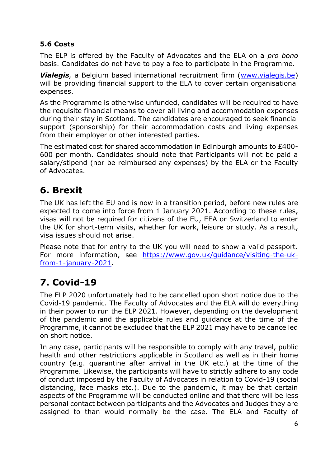#### **5.6 Costs**

The ELP is offered by the Faculty of Advocates and the ELA on a *pro bono* basis. Candidates do not have to pay a fee to participate in the Programme.

**Vialegis**, a Belgium based international recruitment firm [\(www.vialegis.be\)](http://www.vialegis.be/) will be providing financial support to the ELA to cover certain organisational expenses.

As the Programme is otherwise unfunded, candidates will be required to have the requisite financial means to cover all living and accommodation expenses during their stay in Scotland. The candidates are encouraged to seek financial support (sponsorship) for their accommodation costs and living expenses from their employer or other interested parties.

The estimated cost for shared accommodation in Edinburgh amounts to £400- 600 per month. Candidates should note that Participants will not be paid a salary/stipend (nor be reimbursed any expenses) by the ELA or the Faculty of Advocates.

## **6. Brexit**

The UK has left the EU and is now in a transition period, before new rules are expected to come into force from 1 January 2021. According to these rules, visas will not be required for citizens of the EU, EEA or Switzerland to enter the UK for short-term visits, whether for work, leisure or study. As a result, visa issues should not arise.

Please note that for entry to the UK you will need to show a valid passport. For more information, see [https://www.gov.uk/guidance/visiting-the-uk](https://www.gov.uk/guidance/visiting-the-uk-from-1-january-2021)[from-1-january-2021.](https://www.gov.uk/guidance/visiting-the-uk-from-1-january-2021)

## **7. Covid-19**

The ELP 2020 unfortunately had to be cancelled upon short notice due to the Covid-19 pandemic. The Faculty of Advocates and the ELA will do everything in their power to run the ELP 2021. However, depending on the development of the pandemic and the applicable rules and guidance at the time of the Programme, it cannot be excluded that the ELP 2021 may have to be cancelled on short notice.

In any case, participants will be responsible to comply with any travel, public health and other restrictions applicable in Scotland as well as in their home country (e.g. quarantine after arrival in the UK etc.) at the time of the Programme. Likewise, the participants will have to strictly adhere to any code of conduct imposed by the Faculty of Advocates in relation to Covid-19 (social distancing, face masks etc.). Due to the pandemic, it may be that certain aspects of the Programme will be conducted online and that there will be less personal contact between participants and the Advocates and Judges they are assigned to than would normally be the case. The ELA and Faculty of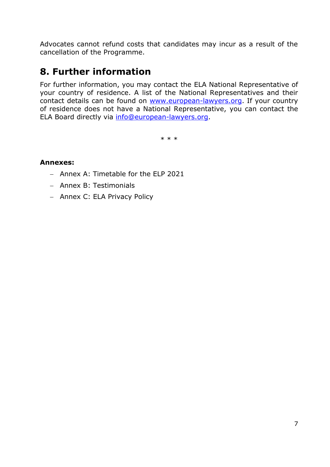Advocates cannot refund costs that candidates may incur as a result of the cancellation of the Programme.

## **8. Further information**

For further information, you may contact the ELA National Representative of your country of residence. A list of the National Representatives and their contact details can be found on [www.european-lawyers.org.](http://www.european-lawyers.org/) If your country of residence does not have a National Representative, you can contact the ELA Board directly via [info@european-lawyers.org.](mailto:info@european-lawyers.org)

\* \* \*

#### **Annexes:**

- − Annex A: Timetable for the ELP 2021
- − Annex B: Testimonials
- − Annex C: ELA Privacy Policy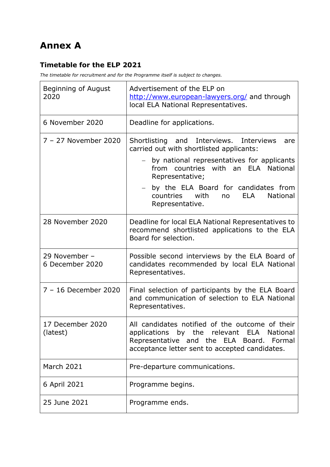## **Annex A**

#### **Timetable for the ELP 2021**

*The timetable for recruitment and for the Programme itself is subject to changes.*

| Beginning of August<br>2020      | Advertisement of the ELP on<br>http://www.european-lawyers.org/ and through<br>local ELA National Representatives.                                                                         |
|----------------------------------|--------------------------------------------------------------------------------------------------------------------------------------------------------------------------------------------|
| 6 November 2020                  | Deadline for applications.                                                                                                                                                                 |
| 7 - 27 November 2020             | Shortlisting and Interviews.<br>Interviews<br>are<br>carried out with shortlisted applicants:                                                                                              |
|                                  | by national representatives for applicants<br>from countries with an ELA National<br>Representative;                                                                                       |
|                                  | by the ELA Board for candidates from<br>with<br>countries<br><b>ELA</b><br><b>National</b><br>no<br>Representative.                                                                        |
| 28 November 2020                 | Deadline for local ELA National Representatives to<br>recommend shortlisted applications to the ELA<br>Board for selection.                                                                |
| 29 November -<br>6 December 2020 | Possible second interviews by the ELA Board of<br>candidates recommended by local ELA National<br>Representatives.                                                                         |
| 7 - 16 December 2020             | Final selection of participants by the ELA Board<br>and communication of selection to ELA National<br>Representatives.                                                                     |
| 17 December 2020<br>(latest)     | All candidates notified of the outcome of their<br>applications by the relevant ELA National<br>Representative and the ELA Board. Formal<br>acceptance letter sent to accepted candidates. |
| <b>March 2021</b>                | Pre-departure communications.                                                                                                                                                              |
| 6 April 2021                     | Programme begins.                                                                                                                                                                          |
| 25 June 2021                     | Programme ends.                                                                                                                                                                            |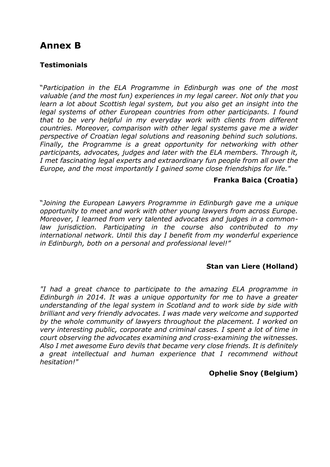## **Annex B**

#### **Testimonials**

"*Participation in the ELA Programme in Edinburgh was one of the most valuable (and the most fun) experiences in my legal career. Not only that you learn a lot about Scottish legal system, but you also get an insight into the legal systems of other European countries from other participants. I found that to be very helpful in my everyday work with clients from different countries. Moreover, comparison with other legal systems gave me a wider perspective of Croatian legal solutions and reasoning behind such solutions. Finally, the Programme is a great opportunity for networking with other participants, advocates, judges and later with the ELA members. Through it, I met fascinating legal experts and extraordinary fun people from all over the Europe, and the most importantly I gained some close friendships for life."*

#### **Franka Baica (Croatia)**

"*Joining the European Lawyers Programme in Edinburgh gave me a unique opportunity to meet and work with other young lawyers from across Europe. Moreover, I learned from very talented advocates and judges in a commonlaw jurisdiction. Participating in the course also contributed to my international network. Until this day I benefit from my wonderful experience in Edinburgh, both on a personal and professional level!"*

#### **Stan van Liere (Holland)**

*"I had a great chance to participate to the amazing ELA programme in Edinburgh in 2014. It was a unique opportunity for me to have a greater understanding of the legal system in Scotland and to work side by side with brilliant and very friendly advocates. I was made very welcome and supported by the whole community of lawyers throughout the placement. I worked on very interesting public, corporate and criminal cases. I spent a lot of time in court observing the advocates examining and cross-examining the witnesses. Also I met awesome Euro devils that became very close friends. It is definitely a great intellectual and human experience that I recommend without hesitation!"*

#### **Ophelie Snoy (Belgium)**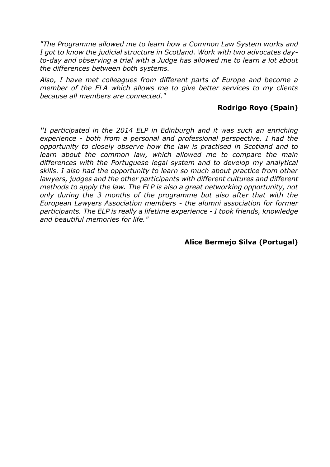*"The Programme allowed me to learn how a Common Law System works and I got to know the judicial structure in Scotland. Work with two advocates dayto-day and observing a trial with a Judge has allowed me to learn a lot about the differences between both systems.*

*Also, I have met colleagues from different parts of Europe and become a member of the ELA which allows me to give better services to my clients because all members are connected."*

#### **Rodrigo Royo (Spain)**

*"I participated in the 2014 ELP in Edinburgh and it was such an enriching experience - both from a personal and professional perspective. I had the opportunity to closely observe how the law is practised in Scotland and to learn about the common law, which allowed me to compare the main differences with the Portuguese legal system and to develop my analytical skills. I also had the opportunity to learn so much about practice from other lawyers, judges and the other participants with different cultures and different methods to apply the law. The ELP is also a great networking opportunity, not only during the 3 months of the programme but also after that with the European Lawyers Association members - the alumni association for former participants. The ELP is really a lifetime experience - I took friends, knowledge and beautiful memories for life."*

**Alice Bermejo Silva (Portugal)**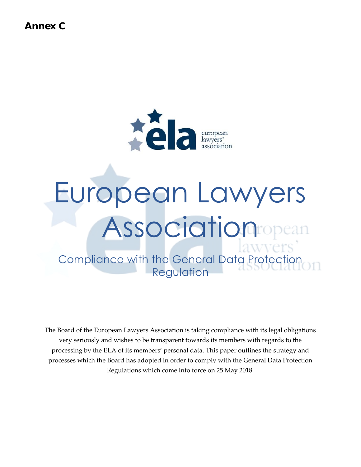**Annex C**



# European Lawyers Association

Compliance with the General Data Protection Regulation

The Board of the European Lawyers Association is taking compliance with its legal obligations very seriously and wishes to be transparent towards its members with regards to the processing by the ELA of its members' personal data. This paper outlines the strategy and processes which the Board has adopted in order to comply with the General Data Protection Regulations which come into force on 25 May 2018.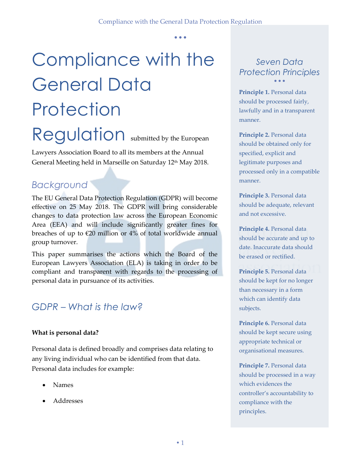## Compliance with the General Data **Protection** Regulation submitted by the European

Lawyers Association Board to all its members at the Annual General Meeting held in Marseille on Saturday 12<sup>th</sup> May 2018.

## *Background*

The EU General Data Protection Regulation (GDPR) will become effective on 25 May 2018. The GDPR will bring considerable changes to data protection law across the European Economic Area (EEA) and will include significantly greater fines for breaches of up to  $\epsilon$ 20 million or 4% of total worldwide annual group turnover.

This paper summarises the actions which the Board of the European Lawyers Association (ELA) is taking in order to be compliant and transparent with regards to the processing of personal data in pursuance of its activities.

## *GDPR – What is the law?*

#### **What is personal data?**

Personal data is defined broadly and comprises data relating to any living individual who can be identified from that data. Personal data includes for example:

- Names
- Addresses

#### *Seven Data Protection Principles*  $\bullet$   $\bullet$   $\bullet$

**Principle 1.** Personal data should be processed fairly, lawfully and in a transparent manner.

**Principle 2.** Personal data should be obtained only for specified, explicit and legitimate purposes and processed only in a compatible manner.

**Principle 3.** Personal data should be adequate, relevant and not excessive.

**Principle 4.** Personal data should be accurate and up to date. Inaccurate data should be erased or rectified.

**Principle 5.** Personal data should be kept for no longer than necessary in a form which can identify data subjects.

**Principle 6.** Personal data should be kept secure using appropriate technical or organisational measures.

**Principle 7.** Personal data should be processed in a way which evidences the controller's accountability to compliance with the principles.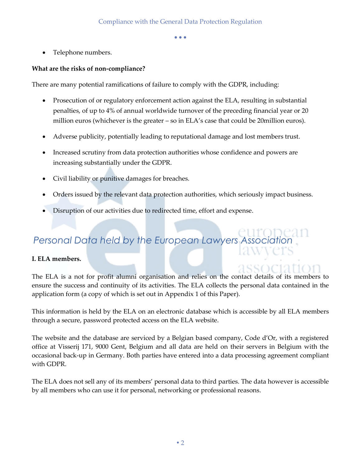Telephone numbers.

#### **What are the risks of non-compliance?**

There are many potential ramifications of failure to comply with the GDPR, including:

- Prosecution of or regulatory enforcement action against the ELA, resulting in substantial penalties, of up to 4% of annual worldwide turnover of the preceding financial year or 20 million euros (whichever is the greater – so in ELA's case that could be 20million euros).
- Adverse publicity, potentially leading to reputational damage and lost members trust.
- Increased scrutiny from data protection authorities whose confidence and powers are increasing substantially under the GDPR.
- Civil liability or punitive damages for breaches.
- Orders issued by the relevant data protection authorities, which seriously impact business.
- Disruption of our activities due to redirected time, effort and expense.

## **Personal Data held by the European Lawyers Association**

#### **I. ELA members.**

The ELA is a not for profit alumni organisation and relies on the contact details of its members to ensure the success and continuity of its activities. The ELA collects the personal data contained in the application form (a copy of which is set out in Appendix 1 of this Paper).

This information is held by the ELA on an electronic database which is accessible by all ELA members through a secure, password protected access on the ELA website.

The website and the database are serviced by a Belgian based company, Code d'Or, with a registered office at Visserij 171, 9000 Gent, Belgium and all data are held on their servers in Belgium with the occasional back-up in Germany. Both parties have entered into a data processing agreement compliant with GDPR.

The ELA does not sell any of its members' personal data to third parties. The data however is accessible by all members who can use it for personal, networking or professional reasons.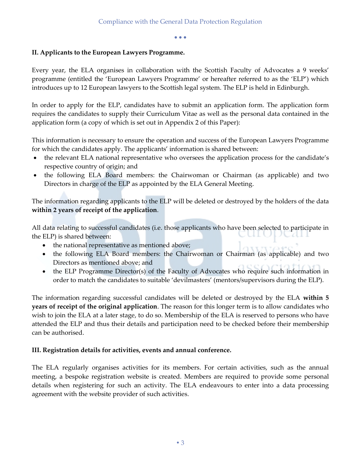#### **II. Applicants to the European Lawyers Programme.**

Every year, the ELA organises in collaboration with the Scottish Faculty of Advocates a 9 weeks' programme (entitled the 'European Lawyers Programme' or hereafter referred to as the 'ELP') which introduces up to 12 European lawyers to the Scottish legal system. The ELP is held in Edinburgh.

In order to apply for the ELP, candidates have to submit an application form. The application form requires the candidates to supply their Curriculum Vitae as well as the personal data contained in the application form (a copy of which is set out in Appendix 2 of this Paper):

This information is necessary to ensure the operation and success of the European Lawyers Programme for which the candidates apply. The applicants' information is shared between:

- the relevant ELA national representative who oversees the application process for the candidate's respective country of origin; and
- the following ELA Board members: the Chairwoman or Chairman (as applicable) and two Directors in charge of the ELP as appointed by the ELA General Meeting.

The information regarding applicants to the ELP will be deleted or destroyed by the holders of the data **within 2 years of receipt of the application**.

All data relating to successful candidates (i.e. those applicants who have been selected to participate in the ELP) is shared between: モルモリス ハームエ

- the national representative as mentioned above;
- the following ELA Board members: the Chairwoman or Chairman (as applicable) and two Directors as mentioned above; and
- the ELP Programme Director(s) of the Faculty of Advocates who require such information in order to match the candidates to suitable 'devilmasters' (mentors/supervisors during the ELP).

The information regarding successful candidates will be deleted or destroyed by the ELA **within 5 years of receipt of the original application**. The reason for this longer term is to allow candidates who wish to join the ELA at a later stage, to do so. Membership of the ELA is reserved to persons who have attended the ELP and thus their details and participation need to be checked before their membership can be authorised.

#### **III. Registration details for activities, events and annual conference.**

The ELA regularly organises activities for its members. For certain activities, such as the annual meeting, a bespoke registration website is created. Members are required to provide some personal details when registering for such an activity. The ELA endeavours to enter into a data processing agreement with the website provider of such activities.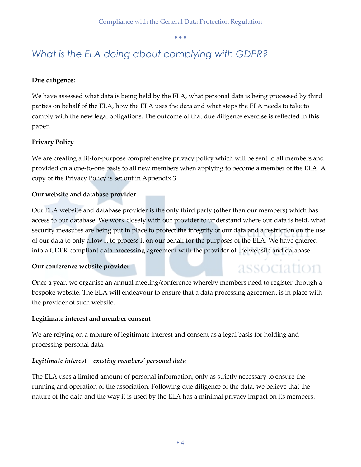## *What is the ELA doing about complying with GDPR?*

#### **Due diligence:**

We have assessed what data is being held by the ELA, what personal data is being processed by third parties on behalf of the ELA, how the ELA uses the data and what steps the ELA needs to take to comply with the new legal obligations. The outcome of that due diligence exercise is reflected in this paper.

#### **Privacy Policy**

We are creating a fit-for-purpose comprehensive privacy policy which will be sent to all members and provided on a one-to-one basis to all new members when applying to become a member of the ELA. A copy of the Privacy Policy is set out in Appendix 3.

#### **Our website and database provider**

Our ELA website and database provider is the only third party (other than our members) which has access to our database. We work closely with our provider to understand where our data is held, what security measures are being put in place to protect the integrity of our data and a restriction on the use of our data to only allow it to process it on our behalf for the purposes of the ELA. We have entered into a GDPR compliant data processing agreement with the provider of the website and database.

#### **Our conference website provider**

#### association Once a year, we organise an annual meeting/conference whereby members need to register through a bespoke website. The ELA will endeavour to ensure that a data processing agreement is in place with the provider of such website.

#### **Legitimate interest and member consent**

We are relying on a mixture of legitimate interest and consent as a legal basis for holding and processing personal data.

#### *Legitimate interest – existing members' personal data*

The ELA uses a limited amount of personal information, only as strictly necessary to ensure the running and operation of the association. Following due diligence of the data, we believe that the nature of the data and the way it is used by the ELA has a minimal privacy impact on its members.